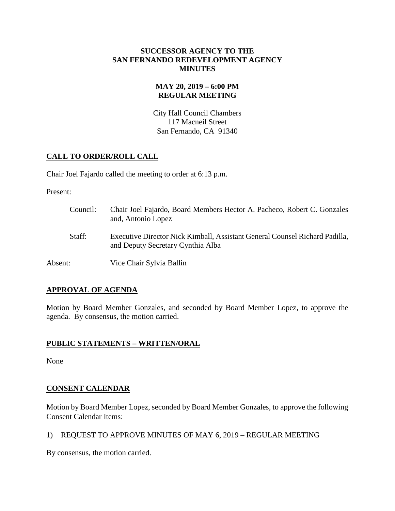### **SUCCESSOR AGENCY TO THE SAN FERNANDO REDEVELOPMENT AGENCY MINUTES**

## **MAY 20, 2019 – 6:00 PM REGULAR MEETING**

City Hall Council Chambers 117 Macneil Street San Fernando, CA 91340

# **CALL TO ORDER/ROLL CALL**

Chair Joel Fajardo called the meeting to order at 6:13 p.m.

Present:

Council: Chair Joel Fajardo, Board Members Hector A. Pacheco, Robert C. Gonzales and, Antonio Lopez Staff: Executive Director Nick Kimball, Assistant General Counsel Richard Padilla, and Deputy Secretary Cynthia Alba Absent: Vice Chair Sylvia Ballin

# **APPROVAL OF AGENDA**

Motion by Board Member Gonzales, and seconded by Board Member Lopez, to approve the agenda. By consensus, the motion carried.

## **PUBLIC STATEMENTS – WRITTEN/ORAL**

None

# **CONSENT CALENDAR**

Motion by Board Member Lopez, seconded by Board Member Gonzales, to approve the following Consent Calendar Items:

1) REQUEST TO APPROVE MINUTES OF MAY 6, 2019 – REGULAR MEETING

By consensus, the motion carried.